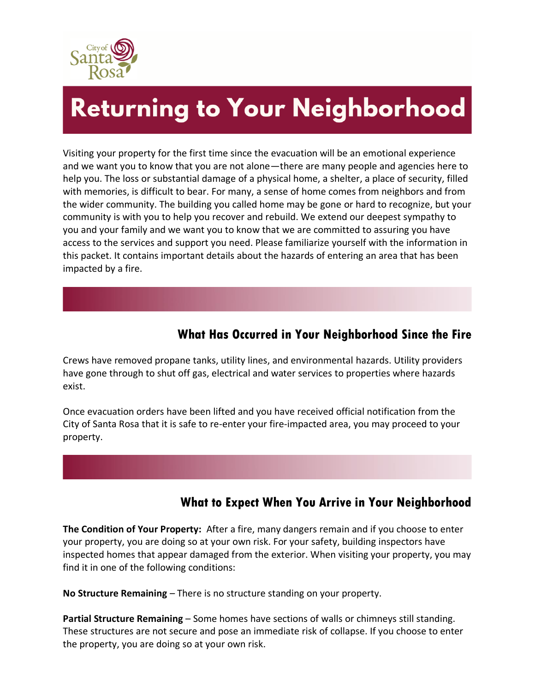

# **Returning to Your Neighborhood**

Visiting your property for the first time since the evacuation will be an emotional experience and we want you to know that you are not alone—there are many people and agencies here to help you. The loss or substantial damage of a physical home, a shelter, a place of security, filled with memories, is difficult to bear. For many, a sense of home comes from neighbors and from the wider community. The building you called home may be gone or hard to recognize, but your community is with you to help you recover and rebuild. We extend our deepest sympathy to you and your family and we want you to know that we are committed to assuring you have access to the services and support you need. Please familiarize yourself with the information in this packet. It contains important details about the hazards of entering an area that has been impacted by a fire.

## **What Has Occurred in Your Neighborhood Since the Fire**

Crews have removed propane tanks, utility lines, and environmental hazards. Utility providers have gone through to shut off gas, electrical and water services to properties where hazards exist.

Once evacuation orders have been lifted and you have received official notification from the City of Santa Rosa that it is safe to re-enter your fire-impacted area, you may proceed to your property.

## **What to Expect When You Arrive in Your Neighborhood**

**The Condition of Your Property:** After a fire, many dangers remain and if you choose to enter your property, you are doing so at your own risk. For your safety, building inspectors have inspected homes that appear damaged from the exterior. When visiting your property, you may find it in one of the following conditions:

**No Structure Remaining** – There is no structure standing on your property.

**Partial Structure Remaining** – Some homes have sections of walls or chimneys still standing. These structures are not secure and pose an immediate risk of collapse. If you choose to enter the property, you are doing so at your own risk.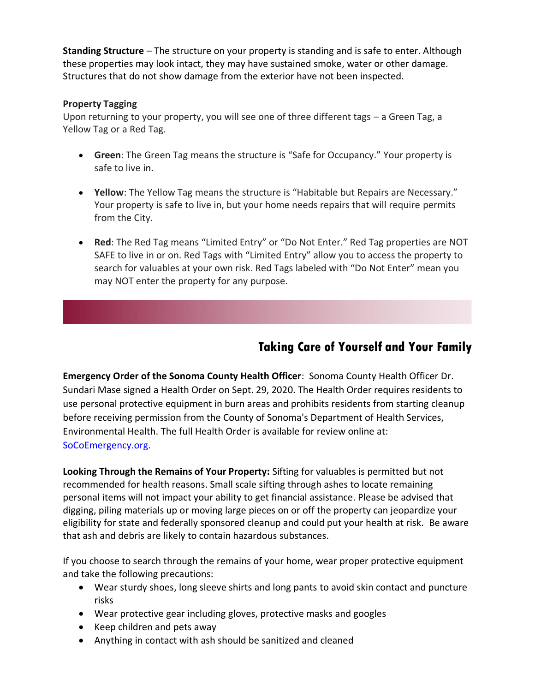**Standing Structure** – The structure on your property is standing and is safe to enter. Although these properties may look intact, they may have sustained smoke, water or other damage. Structures that do not show damage from the exterior have not been inspected.

#### **Property Tagging**

Upon returning to your property, you will see one of three different tags – a Green Tag, a Yellow Tag or a Red Tag.

- **Green**: The Green Tag means the structure is "Safe for Occupancy." Your property is safe to live in.
- **Yellow**: The Yellow Tag means the structure is "Habitable but Repairs are Necessary." Your property is safe to live in, but your home needs repairs that will require permits from the City.
- **Red**: The Red Tag means "Limited Entry" or "Do Not Enter." Red Tag properties are NOT SAFE to live in or on. Red Tags with "Limited Entry" allow you to access the property to search for valuables at your own risk. Red Tags labeled with "Do Not Enter" mean you may NOT enter the property for any purpose.

## **Taking Care of Yourself and Your Family**

**Emergency Order of the Sonoma County Health Officer**: Sonoma County Health Officer Dr. Sundari Mase signed a Health Order on Sept. 29, 2020. The Health Order requires residents to use personal protective equipment in burn areas and prohibits residents from starting cleanup before receiving permission from the County of Sonoma's Department of Health Services, Environmental Health. The full Health Order is available for review online at: SoCoEmergency.org.

**Looking Through the Remains of Your Property:** Sifting for valuables is permitted but not recommended for health reasons. Small scale sifting through ashes to locate remaining personal items will not impact your ability to get financial assistance. Please be advised that digging, piling materials up or moving large pieces on or off the property can jeopardize your eligibility for state and federally sponsored cleanup and could put your health at risk. Be aware that ash and debris are likely to contain hazardous substances.

If you choose to search through the remains of your home, wear proper protective equipment and take the following precautions:

- Wear sturdy shoes, long sleeve shirts and long pants to avoid skin contact and puncture risks
- Wear protective gear including gloves, protective masks and googles
- Keep children and pets away
- Anything in contact with ash should be sanitized and cleaned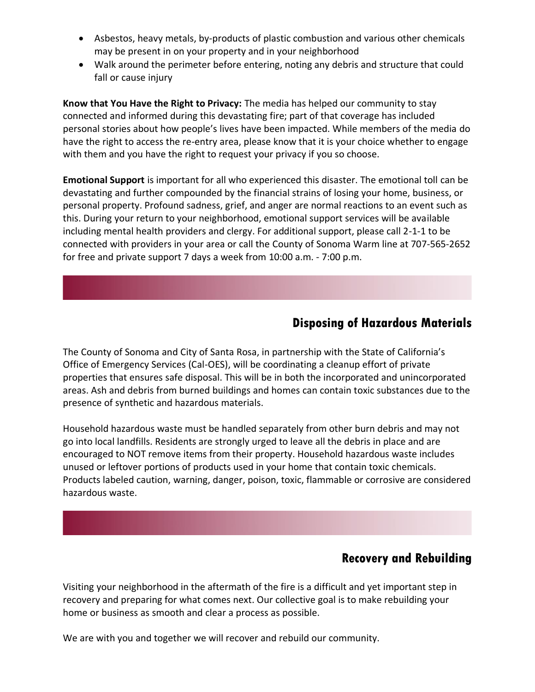- Asbestos, heavy metals, by-products of plastic combustion and various other chemicals may be present in on your property and in your neighborhood
- Walk around the perimeter before entering, noting any debris and structure that could fall or cause injury

**Know that You Have the Right to Privacy:** The media has helped our community to stay connected and informed during this devastating fire; part of that coverage has included personal stories about how people's lives have been impacted. While members of the media do have the right to access the re-entry area, please know that it is your choice whether to engage with them and you have the right to request your privacy if you so choose.

**Emotional Support** is important for all who experienced this disaster. The emotional toll can be devastating and further compounded by the financial strains of losing your home, business, or personal property. Profound sadness, grief, and anger are normal reactions to an event such as this. During your return to your neighborhood, emotional support services will be available including mental health providers and clergy. For additional support, please call 2-1-1 to be connected with providers in your area or call the County of Sonoma Warm line at 707-565-2652 for free and private support 7 days a week from 10:00 a.m. - 7:00 p.m.

### **Disposing of Hazardous Materials**

The County of Sonoma and City of Santa Rosa, in partnership with the State of California's Office of Emergency Services (Cal-OES), will be coordinating a cleanup effort of private properties that ensures safe disposal. This will be in both the incorporated and unincorporated areas. Ash and debris from burned buildings and homes can contain toxic substances due to the presence of synthetic and hazardous materials.

Household hazardous waste must be handled separately from other burn debris and may not go into local landfills. Residents are strongly urged to leave all the debris in place and are encouraged to NOT remove items from their property. Household hazardous waste includes unused or leftover portions of products used in your home that contain toxic chemicals. Products labeled caution, warning, danger, poison, toxic, flammable or corrosive are considered hazardous waste.

## **Recovery and Rebuilding**

Visiting your neighborhood in the aftermath of the fire is a difficult and yet important step in recovery and preparing for what comes next. Our collective goal is to make rebuilding your home or business as smooth and clear a process as possible.

We are with you and together we will recover and rebuild our community.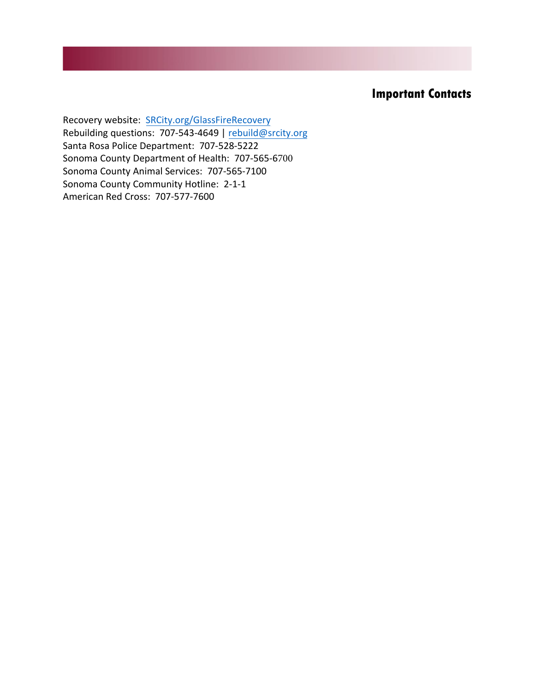## **Important Contacts**

Recovery website: [SRCity.org/](http://www.srcity.org/GlassFireRecovery)GlassFireRecovery Rebuilding questions: 707-543-4649 | [rebuild@srcity.org](mailto:rebuild@srcity.org) Santa Rosa Police Department: 707-528-5222 Sonoma County Department of Health: 707-565-6700 Sonoma County Animal Services: 707-565-7100 Sonoma County Community Hotline: 2-1-1 American Red Cross: 707-577-7600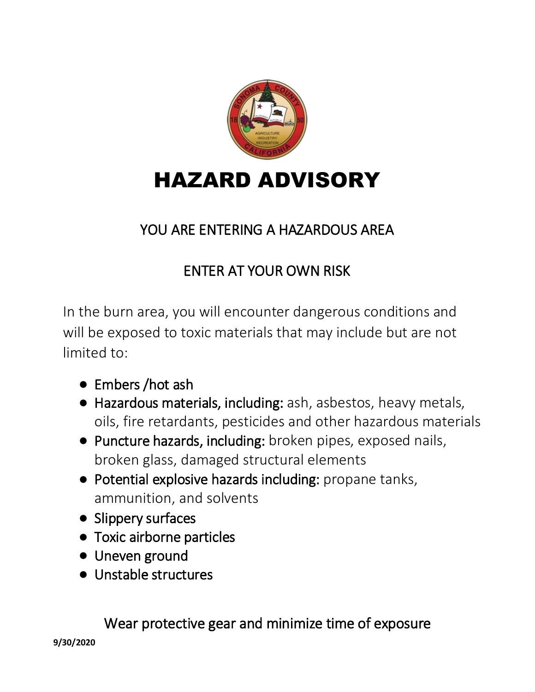

## YOU ARE ENTERING A HAZARDOUS AREA

## ENTER AT YOUR OWN RISK

In the burn area, you will encounter dangerous conditions and will be exposed to toxic materials that may include but are not limited to:

- Embers / hot ash
- Hazardous materials, including: ash, asbestos, heavy metals, oils, fire retardants, pesticides and other hazardous materials
- Puncture hazards, including: broken pipes, exposed nails, broken glass, damaged structural elements
- Potential explosive hazards including: propane tanks, ammunition, and solvents
- Slippery surfaces
- Toxic airborne particles
- Uneven ground
- Unstable structures

Wear protective gear and minimize time of exposure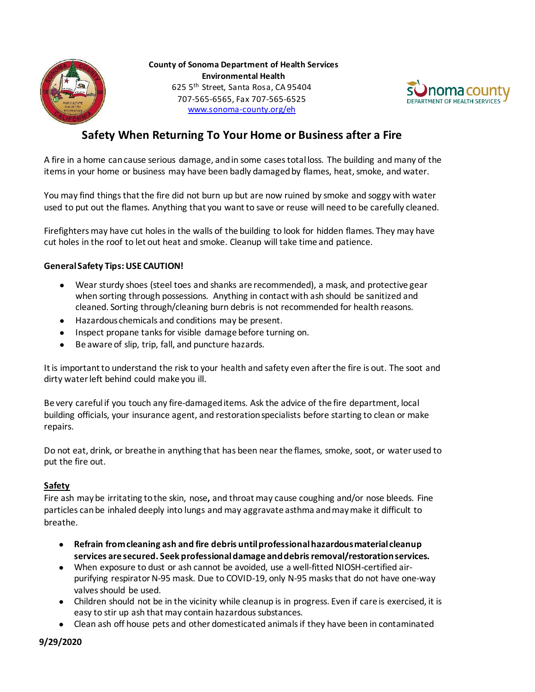



### **Safety When Returning To Your Home or Business after a Fire**

A fire in a home can cause serious damage, and in some cases total loss. The building and many of the items in your home or business may have been badly damaged by flames, heat, smoke, and water.

You may find things that the fire did not burn up but are now ruined by smoke and soggy with water used to put out the flames. Anything that you want to save or reuse will need to be carefully cleaned.

Firefighters may have cut holes in the walls of the building to look for hidden flames. They may have cut holes in the roof to let out heat and smoke. Cleanup will take time and patience.

#### **General Safety Tips: USE CAUTION!**

- Wear sturdy shoes (steel toes and shanks are recommended), a mask, and protective gear when sorting through possessions. Anything in contact with ash should be sanitized and cleaned. Sorting through/cleaning burn debris is not recommended for health reasons.
- Hazardous chemicals and conditions may be present.
- Inspect propane tanks for visible damage before turning on.
- Be aware of slip, trip, fall, and puncture hazards.

It is important to understand the risk to your health and safety even after the fire is out. The soot and dirty water left behind could make you ill.

Be very careful if you touch any fire-damaged items. Ask the advice of the fire department, local building officials, your insurance agent, and restoration specialists before starting to clean or make repairs.

Do not eat, drink, or breathe in anything that has been near the flames, smoke, soot, or water used to put the fire out.

#### **Safety**

Fire ash may be irritating to the skin, nose**,** and throat may cause coughing and/or nose bleeds. Fine particles can be inhaled deeply into lungs and may aggravate asthma and may make it difficult to breathe.

- **Refrain from cleaning ash and fire debris until professional hazardous material cleanup services are secured. Seek professional damage and debris removal/restoration services.**
- When exposure to dust or ash cannot be avoided, use a well-fitted NIOSH-certified airpurifying respirator N-95 mask. Due to COVID-19, only N-95 masks that do not have one-way valves should be used.
- Children should not be in the vicinity while cleanup is in progress. Even if care is exercised, it is easy to stir up ash that may contain hazardous substances.
- Clean ash off house pets and other domesticated animals if they have been in contaminated

**9/29/2020**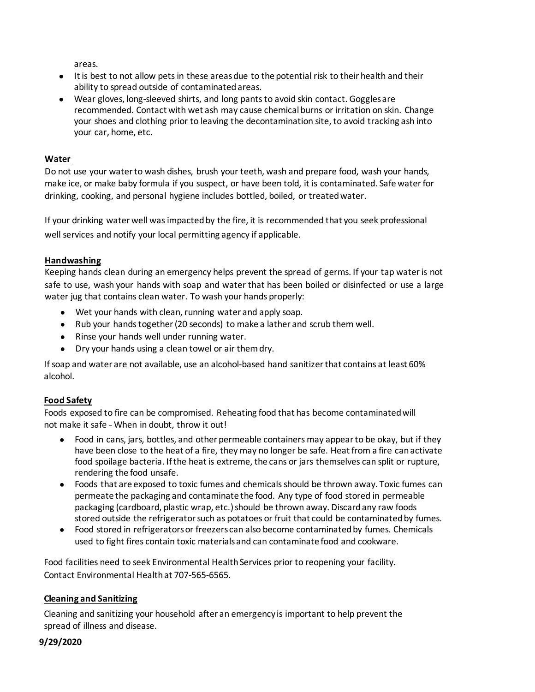areas.

- It is best to not allow pets in these areas due to the potential risk to their health and their ability to spread outside of contaminatedareas.
- Wear gloves, long-sleeved shirts, and long pants to avoid skin contact. Goggles are recommended. Contact with wet ash may cause chemical burns or irritation on skin. Change your shoes and clothing prior to leaving the decontamination site, to avoid tracking ash into your car, home, etc.

#### **Water**

Do not use your water to wash dishes, brush your teeth, wash and prepare food, wash your hands, make ice, or make baby formula if you suspect, or have been told, it is contaminated. Safe water for drinking, cooking, and personal hygiene includes bottled, boiled, or treated water.

If your drinking water well was impacted by the fire, it is recommended that you seek professional well services and notify your local permitting agency if applicable.

#### **Handwashing**

Keeping hands clean during an emergency helps prevent the spread of germs. If your tap water is not safe to use, wash your hands with soap and water that has been boiled or disinfected or use a large water jug that contains clean water. To wash your hands properly:

- Wet your hands with clean, running water and apply soap.
- Rub your hands together (20 seconds) to make a lather and scrub them well.
- Rinse your hands well under running water.
- Dry your hands using a clean towel or air them dry.

If soap and water are not available, use an alcohol-based hand sanitizer that contains at least 60% alcohol.

#### **Food Safety**

Foods exposed to fire can be compromised. Reheating food that has become contaminated will not make it safe - When in doubt, throw it out!

- Food in cans, jars, bottles, and other permeable containers may appear to be okay, but if they have been close to the heat of a fire, they may no longer be safe. Heat from a fire can activate food spoilage bacteria. If the heat is extreme, the cans or jars themselves can split or rupture, rendering the food unsafe.
- Foods that are exposed to toxic fumes and chemicals should be thrown away. Toxic fumes can permeate the packaging and contaminate the food. Any type of food stored in permeable packaging (cardboard, plastic wrap, etc.) should be thrown away. Discard any raw foods stored outside the refrigerator such as potatoes or fruit that could be contaminated by fumes.
- Food stored in refrigerators or freezers can also become contaminated by fumes. Chemicals used to fight fires contain toxic materials and can contaminate food and cookware.

Food facilities need to seek Environmental Health Services prior to reopening your facility. Contact Environmental Health at 707-565-6565.

#### **Cleaning and Sanitizing**

Cleaning and sanitizing your household after an emergency is important to help prevent the spread of illness and disease.

#### **9/29/2020**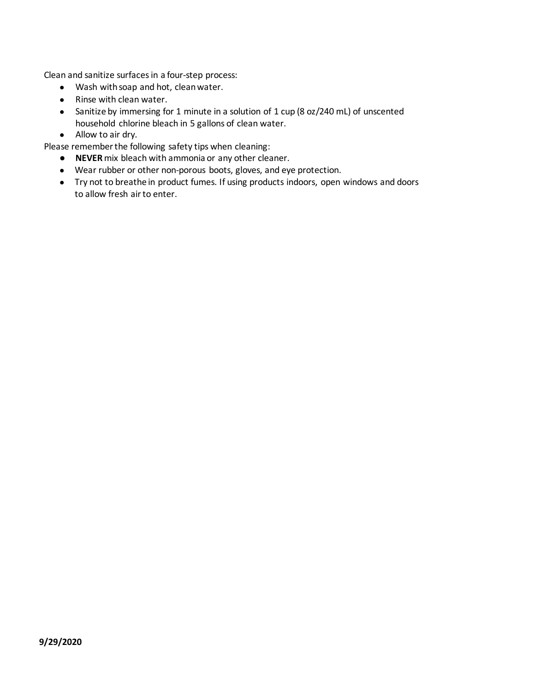Clean and sanitize surfaces in a four-step process:

- Wash with soap and hot, clean water.
- Rinse with clean water.
- Sanitize by immersing for 1 minute in a solution of 1 cup (8 oz/240 mL) of unscented household chlorine bleach in 5 gallons of clean water.
- Allow to air dry.

Please remember the following safety tips when cleaning:

- **NEVER** mix bleach with ammonia or any other cleaner.
- Wear rubber or other non-porous boots, gloves, and eye protection.
- Try not to breathe in product fumes. If using products indoors, open windows and doors to allow fresh air to enter.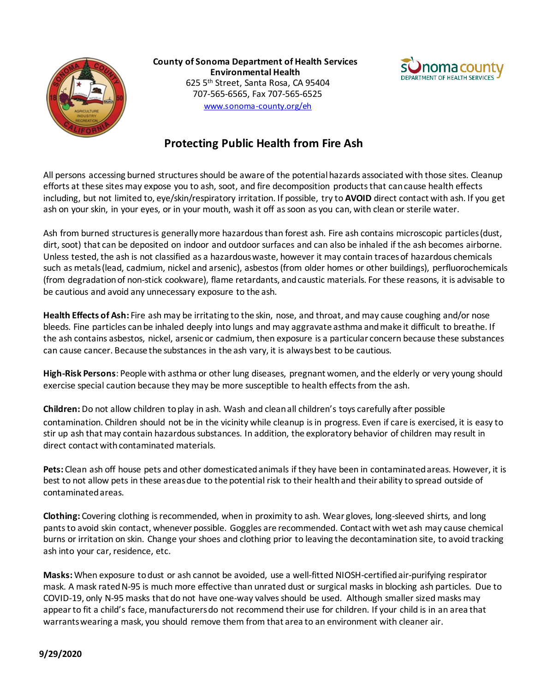

**County of Sonoma Department of Health Services Environmental Health** 625 5th Street, Santa Rosa, CA 95404 707-565-6565, Fax 707-565-6525 [www.sonoma-county.org/eh](http://www.sonoma-county.org/eh)



### **Protecting Public Health from Fire Ash**

All persons accessing burned structures should be aware of the potential hazards associated with those sites. Cleanup efforts at these sites may expose you to ash, soot, and fire decomposition products that can cause health effects including, but not limited to, eye/skin/respiratory irritation. If possible, try to **AVOID** direct contact with ash. If you get ash on your skin, in your eyes, or in your mouth, wash it off as soon as you can, with clean or sterile water.

Ash from burned structures is generally more hazardous than forest ash. Fire ash contains microscopic particles (dust, dirt, soot) that can be deposited on indoor and outdoor surfaces and can also be inhaled if the ash becomes airborne. Unless tested, the ash is not classified as a hazardous waste, however it may contain traces of hazardous chemicals such as metals (lead, cadmium, nickel and arsenic), asbestos (from older homes or other buildings), perfluorochemicals (from degradation of non-stick cookware), flame retardants, and caustic materials. For these reasons, it is advisable to be cautious and avoid any unnecessary exposure to the ash.

**Health Effects of Ash:** Fire ash may be irritating to the skin, nose, and throat, and may cause coughing and/or nose bleeds. Fine particles can be inhaled deeply into lungs and may aggravate asthma and make it difficult to breathe. If the ash contains asbestos, nickel, arsenic or cadmium, then exposure is a particular concern because these substances can cause cancer. Because the substances in the ash vary, it is always best to be cautious.

**High-Risk Persons**: People with asthma or other lung diseases, pregnant women, and the elderly or very young should exercise special caution because they may be more susceptible to health effects from the ash.

**Children:** Do not allow children to play in ash. Wash and clean all children's toys carefully after possible contamination. Children should not be in the vicinity while cleanup is in progress. Even if care is exercised, it is easy to stir up ash that may contain hazardous substances. In addition, the exploratory behavior of children may result in direct contact with contaminated materials.

**Pets:** Clean ash off house pets and other domesticated animals if they have been in contaminated areas. However, it is best to not allow pets in these areas due to the potential risk to their health and their ability to spread outside of contaminated areas.

**Clothing:** Covering clothing is recommended, when in proximity to ash. Wear gloves, long-sleeved shirts, and long pants to avoid skin contact, whenever possible. Goggles are recommended. Contact with wet ash may cause chemical burns or irritation on skin. Change your shoes and clothing prior to leaving the decontamination site, to avoid tracking ash into your car, residence, etc.

**Masks:** When exposure to dust or ash cannot be avoided, use a well-fitted NIOSH-certified air-purifying respirator mask. A mask rated N-95 is much more effective than unrated dust or surgical masks in blocking ash particles. Due to COVID-19, only N-95 masks that do not have one-way valves should be used. Although smaller sized masks may appear to fit a child's face, manufacturers do not recommend their use for children. If your child is in an area that warrants wearing a mask, you should remove them from that area to an environment with cleaner air.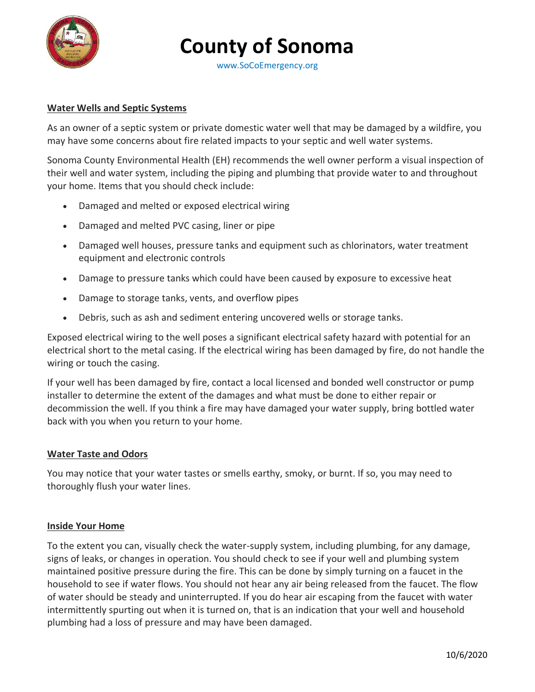

## **County of Sonoma**

[www.SoCoEmergency.org](http://www.socoemergency.org/)

#### **Water Wells and Septic Systems**

As an owner of a septic system or private domestic water well that may be damaged by a wildfire, you may have some concerns about fire related impacts to your septic and well water systems.

Sonoma County Environmental Health (EH) recommends the well owner perform a visual inspection of their well and water system, including the piping and plumbing that provide water to and throughout your home. Items that you should check include:

- Damaged and melted or exposed electrical wiring
- Damaged and melted PVC casing, liner or pipe
- Damaged well houses, pressure tanks and equipment such as chlorinators, water treatment equipment and electronic controls
- Damage to pressure tanks which could have been caused by exposure to excessive heat
- Damage to storage tanks, vents, and overflow pipes
- Debris, such as ash and sediment entering uncovered wells or storage tanks.

Exposed electrical wiring to the well poses a significant electrical safety hazard with potential for an electrical short to the metal casing. If the electrical wiring has been damaged by fire, do not handle the wiring or touch the casing.

If your well has been damaged by fire, contact a local licensed and bonded well constructor or pump installer to determine the extent of the damages and what must be done to either repair or decommission the well. If you think a fire may have damaged your water supply, bring bottled water back with you when you return to your home.

#### **Water Taste and Odors**

You may notice that your water tastes or smells earthy, smoky, or burnt. If so, you may need to thoroughly flush your water lines.

#### **Inside Your Home**

To the extent you can, visually check the water-supply system, including plumbing, for any damage, signs of leaks, or changes in operation. You should check to see if your well and plumbing system maintained positive pressure during the fire. This can be done by simply turning on a faucet in the household to see if water flows. You should not hear any air being released from the faucet. The flow of water should be steady and uninterrupted. If you do hear air escaping from the faucet with water intermittently spurting out when it is turned on, that is an indication that your well and household plumbing had a loss of pressure and may have been damaged.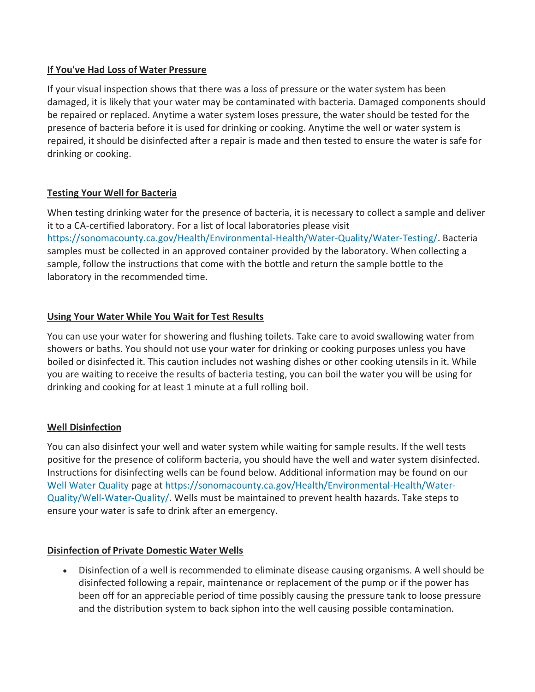#### **If You've Had Loss of Water Pressure**

If your visual inspection shows that there was a loss of pressure or the water system has been damaged, it is likely that your water may be contaminated with bacteria. Damaged components should be repaired or replaced. Anytime a water system loses pressure, the water should be tested for the presence of bacteria before it is used for drinking or cooking. Anytime the well or water system is repaired, it should be disinfected after a repair is made and then tested to ensure the water is safe for drinking or cooking.

#### **Testing Your Well for Bacteria**

When testing drinking water for the presence of bacteria, it is necessary to collect a sample and deliver it to a CA-certified laboratory. For a list of local laboratories please visit [https://sonomacounty.ca.gov/Health/Environmental-Health/Water-Quality/Water-Testing/.](https://sonomacounty.ca.gov/Health/Environmental-Health/Water-Quality/Water-Testing/) Bacteria samples must be collected in an approved container provided by the laboratory. When collecting a sample, follow the instructions that come with the bottle and return the sample bottle to the laboratory in the recommended time.

#### **Using Your Water While You Wait for Test Results**

You can use your water for showering and flushing toilets. Take care to avoid swallowing water from showers or baths. You should not use your water for drinking or cooking purposes unless you have boiled or disinfected it. This caution includes not washing dishes or other cooking utensils in it. While you are waiting to receive the results of bacteria testing, you can boil the water you will be using for drinking and cooking for at least 1 minute at a full rolling boil.

#### **Well Disinfection**

You can also disinfect your well and water system while waiting for sample results. If the well tests positive for the presence of coliform bacteria, you should have the well and water system disinfected. Instructions for disinfecting wells can be found below. Additional information may be found on our [Well Water Quality](http://sonomacounty.ca.gov/Health/Environmental-Health/Water-Quality/Well-Water-Quality/) page at [https://sonomacounty.ca.gov/Health/Environmental-Health/Water-](https://sonomacounty.ca.gov/Health/Environmental-Health/Water-Quality/Well-Water-Quality/)[Quality/Well-Water-Quality/.](https://sonomacounty.ca.gov/Health/Environmental-Health/Water-Quality/Well-Water-Quality/) Wells must be maintained to prevent health hazards. Take steps to ensure your water is safe to drink after an emergency.

#### **Disinfection of Private Domestic Water Wells**

• Disinfection of a well is recommended to eliminate disease causing organisms. A well should be disinfected following a repair, maintenance or replacement of the pump or if the power has been off for an appreciable period of time possibly causing the pressure tank to loose pressure and the distribution system to back siphon into the well causing possible contamination.